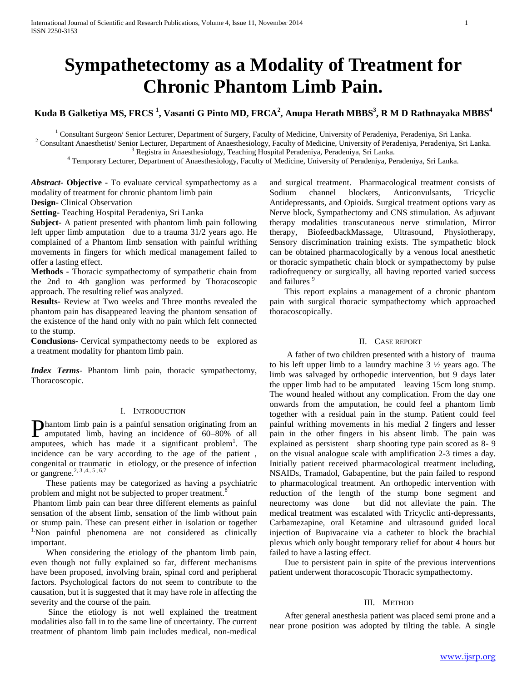# **Sympathetectomy as a Modality of Treatment for Chronic Phantom Limb Pain.**

# **Kuda B Galketiya MS, FRCS <sup>1</sup> , Vasanti G Pinto MD, FRCA<sup>2</sup> , Anupa Herath MBBS<sup>3</sup> , R M D Rathnayaka MBBS<sup>4</sup>**

<sup>1</sup> Consultant Surgeon/ Senior Lecturer, Department of Surgery, Faculty of Medicine, University of Peradeniya, Peradeniya, Sri Lanka.

<sup>2</sup> Consultant Anaesthetist/ Senior Lecturer, Department of Anaesthesiology, Faculty of Medicine, University of Peradeniya, Peradeniya, Sri Lanka. <sup>3</sup> Registra in Anaesthesiology, Teaching Hospital Peradeniya, Peradeniya, Sri Lanka.

<sup>4</sup> Temporary Lecturer, Department of Anaesthesiology, Faculty of Medicine, University of Peradeniya, Peradeniya, Sri Lanka.

*Abstract***- Objective -** To evaluate cervical sympathectomy as a modality of treatment for chronic phantom limb pain

**Design-** Clinical Observation

**Setting-** Teaching Hospital Peradeniya, Sri Lanka

**Subject-** A patient presented with phantom limb pain following left upper limb amputation due to a trauma 31/2 years ago. He complained of a Phantom limb sensation with painful writhing movements in fingers for which medical management failed to offer a lasting effect.

**Methods -** Thoracic sympathectomy of sympathetic chain from the 2nd to 4th ganglion was performed by Thoracoscopic approach. The resulting relief was analyzed.

**Results-** Review at Two weeks and Three months revealed the phantom pain has disappeared leaving the phantom sensation of the existence of the hand only with no pain which felt connected to the stump.

**Conclusions-** Cervical sympathectomy needs to be explored as a treatment modality for phantom limb pain.

*Index Terms*- Phantom limb pain, thoracic sympathectomy, Thoracoscopic.

# I. INTRODUCTION

hantom limb pain is a painful sensation originating from an **Phantom limb pain is a painful sensation originating from an** amputated limb, having an incidence of 60–80% of all amputees, which has made it a significant problem<sup>1</sup>. The incidence can be vary according to the age of the patient , congenital or traumatic in etiology, or the presence of infection or gangrene.2, 3 ,4., 5 , 6,7

 These patients may be categorized as having a psychiatric problem and might not be subjected to proper treatment.<sup>8</sup>

Phantom limb pain can bear three different elements as painful sensation of the absent limb, sensation of the limb without pain or stump pain. These can present either in isolation or together <sup>1</sup>Non painful phenomena are not considered as clinically important.

 When considering the etiology of the phantom limb pain, even though not fully explained so far, different mechanisms have been proposed, involving brain, spinal cord and peripheral factors. Psychological factors do not seem to contribute to the causation, but it is suggested that it may have role in affecting the severity and the course of the pain.

 Since the etiology is not well explained the treatment modalities also fall in to the same line of uncertainty. The current treatment of phantom limb pain includes medical, non-medical and surgical treatment. Pharmacological treatment consists of Sodium channel blockers, Anticonvulsants, Tricyclic Antidepressants, and Opioids. Surgical treatment options vary as Nerve block, Sympathectomy and CNS stimulation. As adjuvant therapy modalities transcutaneous nerve stimulation, Mirror therapy, BiofeedbackMassage, Ultrasound, Physiotherapy, Sensory discrimination training exists. The sympathetic block can be obtained pharmacologically by a venous local anesthetic or thoracic sympathetic chain block or sympathectomy by pulse radiofrequency or surgically, all having reported varied success and failures<sup>5</sup>

 This report explains a management of a chronic phantom pain with surgical thoracic sympathectomy which approached thoracoscopically.

#### II. CASE REPORT

 A father of two children presented with a history of trauma to his left upper limb to a laundry machine 3 ½ years ago. The limb was salvaged by orthopedic intervention, but 9 days later the upper limb had to be amputated leaving 15cm long stump. The wound healed without any complication. From the day one onwards from the amputation, he could feel a phantom limb together with a residual pain in the stump. Patient could feel painful writhing movements in his medial 2 fingers and lesser pain in the other fingers in his absent limb. The pain was explained as persistent sharp shooting type pain scored as 8- 9 on the visual analogue scale with amplification 2-3 times a day. Initially patient received pharmacological treatment including, NSAIDs, Tramadol, Gabapentine, but the pain failed to respond to pharmacological treatment. An orthopedic intervention with reduction of the length of the stump bone segment and neurectomy was done but did not alleviate the pain. The medical treatment was escalated with Tricyclic anti-depressants, Carbamezapine, oral Ketamine and ultrasound guided local injection of Bupivacaine via a catheter to block the brachial plexus which only bought temporary relief for about 4 hours but failed to have a lasting effect.

 Due to persistent pain in spite of the previous interventions patient underwent thoracoscopic Thoracic sympathectomy.

# III. METHOD

 After general anesthesia patient was placed semi prone and a near prone position was adopted by tilting the table. A single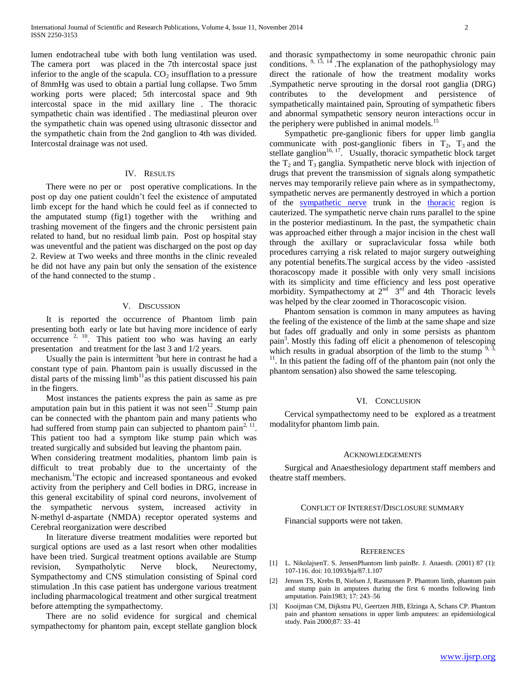lumen endotracheal tube with both lung ventilation was used. The camera port was placed in the 7th intercostal space just inferior to the angle of the scapula.  $CO<sub>2</sub>$  insufflation to a pressure of 8mmHg was used to obtain a partial lung collapse. Two 5mm working ports were placed; 5th intercostal space and 9th intercostal space in the mid axillary line . The thoracic sympathetic chain was identified . The mediastinal pleuron over the sympathetic chain was opened using ultrasonic dissector and the sympathetic chain from the 2nd ganglion to 4th was divided. Intercostal drainage was not used.

#### IV. RESULTS

There were no per or post operative complications. In the post op day one patient couldn't feel the existence of amputated limb except for the hand which he could feel as if connected to the amputated stump (fig1) together with the writhing and trashing movement of the fingers and the chronic persistent pain related to hand, but no residual limb pain. Post op hospital stay was uneventful and the patient was discharged on the post op day 2. Review at Two weeks and three months in the clinic revealed he did not have any pain but only the sensation of the existence of the hand connected to the stump .

### V. DISCUSSION

 It is reported the occurrence of Phantom limb pain presenting both early or late but having more incidence of early  $\alpha$  occurrence  $2, 10$ . This patient too who was having an early presentation and treatment for the last 3 and 1/2 years.

Usually the pain is intermittent  $3$  but here in contrast he had a constant type of pain. Phantom pain is usually discussed in the distal parts of the missing  $limb<sup>11</sup>$  as this patient discussed his pain in the fingers.

 Most instances the patients express the pain as same as pre amputation pain but in this patient it was not seen<sup>12</sup>. Stump pain can be connected with the phantom pain and many patients who had suffered from stump pain can subjected to phantom pain<sup>2, 11</sup>. This patient too had a symptom like stump pain which was treated surgically and subsided but leaving the phantom pain.

When considering treatment modalities, phantom limb pain is difficult to treat probably due to the uncertainty of the mechanism.<sup>1</sup>The ectopic and increased spontaneous and evoked activity from the periphery and Cell bodies in DRG, increase in this general excitability of spinal cord neurons, involvement of the sympathetic nervous system, increased activity in N‐methyl d‐aspartate (NMDA) receptor operated systems and Cerebral reorganization were described

 In literature diverse treatment modalities were reported but surgical options are used as a last resort when other modalities have been tried. Surgical treatment options available are Stump revision, Sympatholytic Nerve block, Neurectomy, Sympathectomy and CNS stimulation consisting of Spinal cord stimulation .In this case patient has undergone various treatment including pharmacological treatment and other surgical treatment before attempting the sympathectomy.

 There are no solid evidence for surgical and chemical sympathectomy for phantom pain, except stellate ganglion block and thorasic sympathectomy in some neuropathic chronic pain conditions.  $9, 13, 14$ . The explanation of the pathophysiology may direct the rationale of how the treatment modality works .Sympathetic nerve sprouting in the dorsal root ganglia (DRG) contributes to the development and persistence of sympathetically maintained pain, Sprouting of sympathetic fibers and abnormal sympathetic sensory neuron interactions occur in the periphery were published in animal models.<sup>15</sup>

 Sympathetic pre-ganglionic fibers for upper limb ganglia communicate with post-ganglionic fibers in  $T_2$ ,  $T_3$  and the stellate ganglion<sup>16, 17</sup>. Usually, thoracic sympathetic block target the  $T_2$  and  $T_3$  ganglia. Sympathetic nerve block with injection of drugs that prevent the transmission of signals along sympathetic nerves may temporarily relieve pain where as in sympathectomy, sympathetic nerves are permanently destroyed in which a portion of the [sympathetic nerve](https://en.wikipedia.org/wiki/Sympathetic_nerves) trunk in the [thoracic](https://en.wikipedia.org/wiki/Thoracic) region is cauterized. The sympathetic nerve chain runs parallel to the spine in the posterior mediastinum. In the past, the sympathetic chain was approached either through a major incision in the chest wall through the axillary or supraclavicular fossa while both procedures carrying a risk related to major surgery outweighing any potential benefits.The surgical access by the video -assisted thoracoscopy made it possible with only very small incisions with its simplicity and time efficiency and less post operative morbidity. Sympathectomy at  $2^{nd}$   $3^{rd}$  and 4th Thoracic levels was helped by the clear zoomed in Thoracoscopic vision.

 Phantom sensation is common in many amputees as having the feeling of the existence of the limb at the same shape and size but fades off gradually and only in some persists as phantom pain<sup>3</sup>. Mostly this fading off elicit a phenomenon of telescoping which results in gradual absorption of the limb to the stump  $9, 3$ , <sup>11</sup>. In this patient the fading off of the phantom pain (not only the phantom sensation) also showed the same telescoping.

#### VI. CONCLUSION

 Cervical sympathectomy need to be explored as a treatment modalityfor phantom limb pain.

#### ACKNOWLEDGEMENTS

 Surgical and Anaesthesiology department staff members and theatre staff members.

#### CONFLICT OF INTEREST/DISCLOSURE SUMMARY

Financial supports were not taken.

#### **REFERENCES**

- [1] L. NikolajsenT. S. JensenPhantom limb painBr. J. Anaesth. (2001) 87 (1): 107-116. doi: 10.1093/bja/87.1.107
- [2] Jensen TS, Krebs B, Nielsen J, Rasmussen P. Phantom limb, phantom pain and stump pain in amputees during the first 6 months following limb amputation. Pain1983; 17: 243–56
- [3] Kooijman CM, Dijkstra PU, Geertzen JHB, Elzinga A, Schans CP. Phantom pain and phantom sensations in upper limb amputees: an epidemiological study. Pain 2000;87: 33–41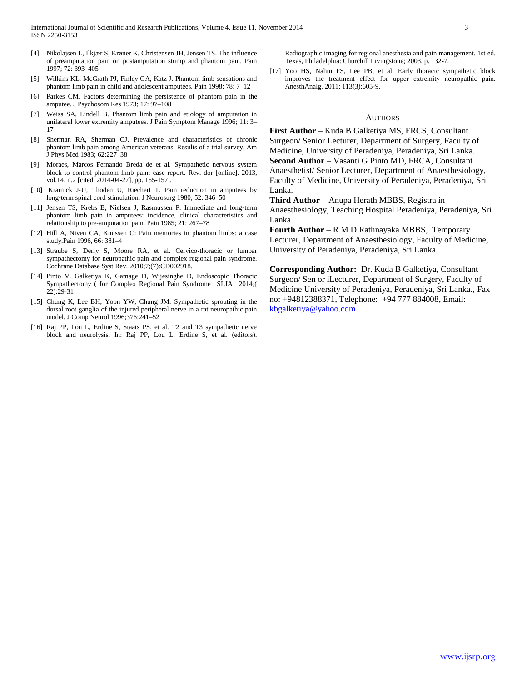- [4] Nikolajsen L, Ilkjær S, Krøner K, Christensen JH, Jensen TS. The influence of preamputation pain on postamputation stump and phantom pain. Pain 1997; 72: 393–405
- [5] Wilkins KL, McGrath PJ, Finley GA, Katz J. Phantom limb sensations and phantom limb pain in child and adolescent amputees. Pain 1998; 78: 7–12
- [6] Parkes CM. Factors determining the persistence of phantom pain in the amputee. J Psychosom Res 1973; 17: 97–108
- [7] Weiss SA, Lindell B. Phantom limb pain and etiology of amputation in unilateral lower extremity amputees. J Pain Symptom Manage 1996; 11: 3– 17
- [8] Sherman RA, Sherman CJ. Prevalence and characteristics of chronic phantom limb pain among American veterans. Results of a trial survey. Am J Phys Med 1983; 62:227–38
- [9] Moraes, Marcos Fernando Breda de et al. Sympathetic nervous system block to control phantom limb pain: case report. Rev. dor [online]. 2013, vol.14, n.2 [cited 2014-04-27], pp. 155-157 .
- [10] Krainick J-U, Thoden U, Riechert T. Pain reduction in amputees by long-term spinal cord stimulation. J Neurosurg 1980; 52: 346–50
- [11] Jensen TS, Krebs B, Nielsen J, Rasmussen P. Immediate and long-term phantom limb pain in amputees: incidence, clinical characteristics and relationship to pre‐amputation pain. Pain 1985; 21: 267–78
- [12] Hill A, Niven CA, Knussen C: Pain memories in phantom limbs: a case study.Pain 1996, 66: 381–4
- [13] Straube S, Derry S, Moore RA, et al. Cervico-thoracic or lumbar sympathectomy for neuropathic pain and complex regional pain syndrome. Cochrane Database Syst Rev. 2010;7;(7):CD002918.
- [14] Pinto V. Galketiya K, Gamage D, Wijesinghe D, Endoscopic Thoracic Sympathectomy ( for Complex Regional Pain Syndrome SLJA 2014;( 22):29-31
- [15] Chung K, Lee BH, Yoon YW, Chung JM. Sympathetic sprouting in the dorsal root ganglia of the injured peripheral nerve in a rat neuropathic pain model. J Comp Neurol 1996;376:241–52
- [16] Raj PP, Lou L, Erdine S, Staats PS, et al. T2 and T3 sympathetic nerve block and neurolysis. In: Raj PP, Lou L, Erdine S, et al. (editors).

Radiographic imaging for regional anesthesia and pain management. 1st ed. Texas, Philadelphia: Churchill Livingstone; 2003. p. 132-7.

[17] Yoo HS, Nahm FS, Lee PB, et al. Early thoracic sympathetic block improves the treatment effect for upper extremity neuropathic pain. AnesthAnalg. 2011; 113(3):605-9.

# AUTHORS

**First Author** – Kuda B Galketiya MS, FRCS, Consultant Surgeon/ Senior Lecturer, Department of Surgery, Faculty of Medicine, University of Peradeniya, Peradeniya, Sri Lanka. **Second Author** – Vasanti G Pinto MD, FRCA, Consultant Anaesthetist/ Senior Lecturer, Department of Anaesthesiology, Faculty of Medicine, University of Peradeniya, Peradeniya, Sri Lanka.

**Third Author** – Anupa Herath MBBS, Registra in Anaesthesiology, Teaching Hospital Peradeniya, Peradeniya, Sri Lanka.

**Fourth Author** – R M D Rathnayaka MBBS, Temporary Lecturer, Department of Anaesthesiology, Faculty of Medicine, University of Peradeniya, Peradeniya, Sri Lanka.

**Corresponding Author:** Dr. Kuda B Galketiya, Consultant Surgeon/ Sen or iLecturer, Department of Surgery, Faculty of Medicine University of Peradeniya, Peradeniya, Sri Lanka., Fax no: +94812388371, Telephone: +94 777 884008, Email: [kbgalketiya@yahoo.com](mailto:kbgalketiya@yahoo.com)